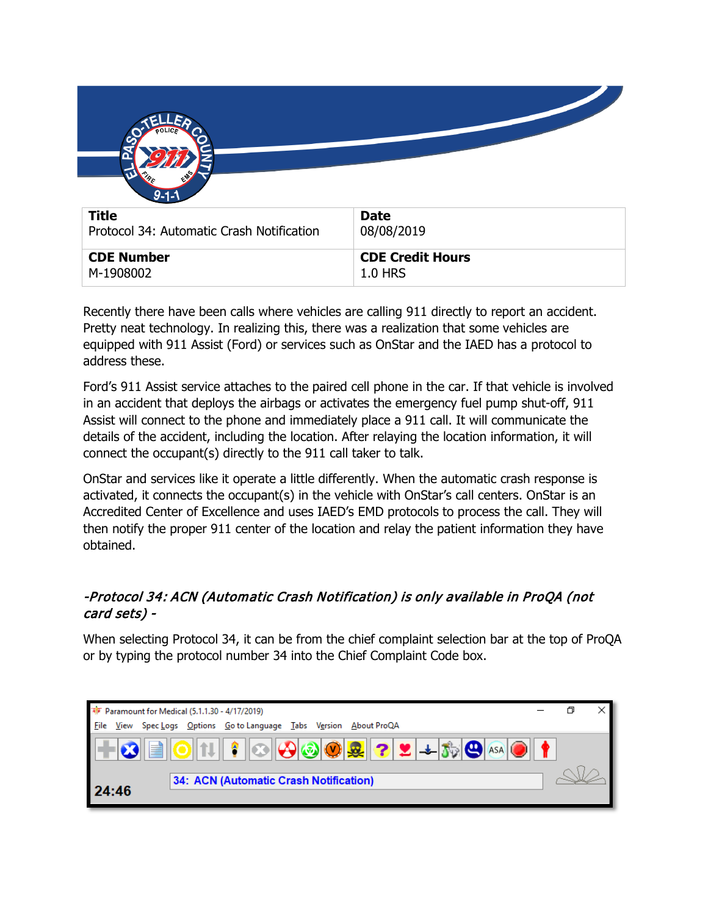| $9 - 1 - 1$ |  |
|-------------|--|
|             |  |

|                   | $\sim$ $\sim$ $\sim$ $\sim$ $\sim$ $\sim$ $\sim$ |
|-------------------|--------------------------------------------------|
| <b>CDE Number</b> | CDE Credit Hours                                 |
| M-1908002         | $1.0$ HRS                                        |

Recently there have been calls where vehicles are calling 911 directly to report an accident. Pretty neat technology. In realizing this, there was a realization that some vehicles are equipped with 911 Assist (Ford) or services such as OnStar and the IAED has a protocol to address these.

Ford's 911 Assist service attaches to the paired cell phone in the car. If that vehicle is involved in an accident that deploys the airbags or activates the emergency fuel pump shut-off, 911 Assist will connect to the phone and immediately place a 911 call. It will communicate the details of the accident, including the location. After relaying the location information, it will connect the occupant(s) directly to the 911 call taker to talk.

OnStar and services like it operate a little differently. When the automatic crash response is activated, it connects the occupant(s) in the vehicle with OnStar's call centers. OnStar is an Accredited Center of Excellence and uses IAED's EMD protocols to process the call. They will then notify the proper 911 center of the location and relay the patient information they have obtained.

## -Protocol 34: ACN (Automatic Crash Notification) is only available in ProQA (not card sets) -

When selecting Protocol 34, it can be from the chief complaint selection bar at the top of ProQA or by typing the protocol number 34 into the Chief Complaint Code box.

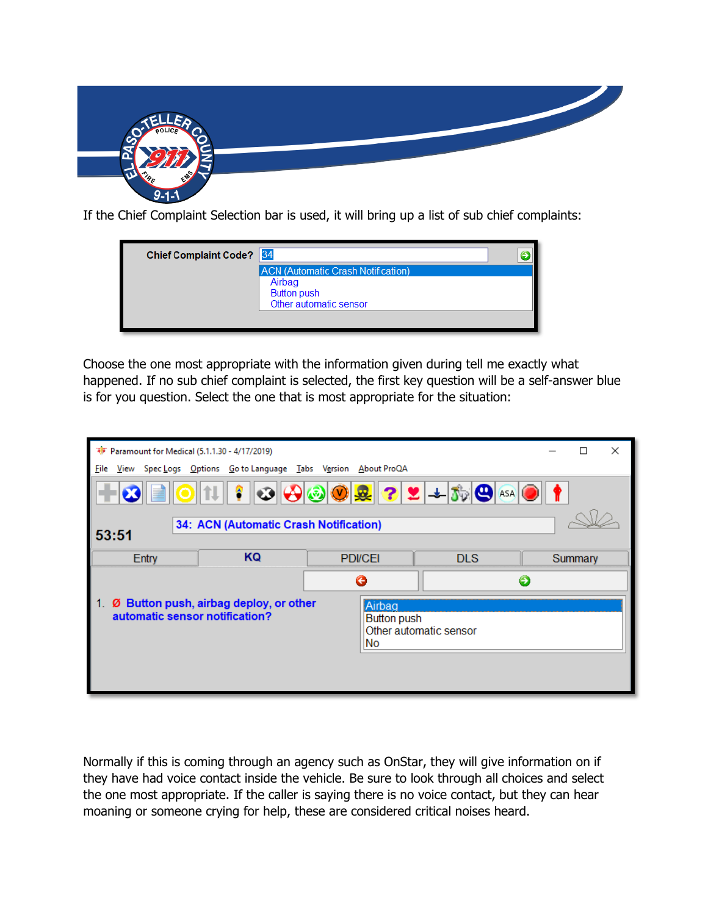

If the Chief Complaint Selection bar is used, it will bring up a list of sub chief complaints:

| <b>Chief Complaint Code?</b> | $\parallel$ 34                            |  |
|------------------------------|-------------------------------------------|--|
|                              | <b>ACN (Automatic Crash Notification)</b> |  |
|                              | Airbag                                    |  |
|                              | <b>Button push</b>                        |  |
|                              | Other automatic sensor                    |  |
|                              |                                           |  |
|                              |                                           |  |

Choose the one most appropriate with the information given during tell me exactly what happened. If no sub chief complaint is selected, the first key question will be a self-answer blue is for you question. Select the one that is most appropriate for the situation:

| <b>RE</b> Paramount for Medical (5.1.1.30 - 4/17/2019)                                                                                                                                                                                                                                                                                                                                                                                                                                                                               |                                        |                       |            |   | П       | × |
|--------------------------------------------------------------------------------------------------------------------------------------------------------------------------------------------------------------------------------------------------------------------------------------------------------------------------------------------------------------------------------------------------------------------------------------------------------------------------------------------------------------------------------------|----------------------------------------|-----------------------|------------|---|---------|---|
| View Spec Logs Options Go to Language Tabs Version About ProQA<br>File                                                                                                                                                                                                                                                                                                                                                                                                                                                               |                                        |                       |            |   |         |   |
| $\textcolor{blue}{\text{O}\textcolor{blue}{\text{  }}\text{O}\textcolor{blue}{\text{  }}\text{O}\textcolor{blue}{\text{  }}\text{O}\textcolor{blue}{\text{  }}\text{O}\textcolor{blue}{\text{  }}\text{O}\textcolor{blue}{\text{  }}\text{O}\textcolor{blue}{\text{  }}\text{O}\textcolor{blue}{\text{  }}\text{O}\textcolor{blue}{\text{  }}\text{O}\textcolor{blue}{\text{  }}\text{O}\textcolor{blue}{\text{  }}\text{O}\textcolor{blue}{\text{  }}\text{O}\textcolor{blue}{\text{  }}\text{O}\textcolor{blue}{\text{  }}\text{O$ |                                        |                       |            |   |         |   |
| 53:51                                                                                                                                                                                                                                                                                                                                                                                                                                                                                                                                | 34: ACN (Automatic Crash Notification) |                       |            |   |         |   |
| Entry                                                                                                                                                                                                                                                                                                                                                                                                                                                                                                                                | KQ                                     | <b>PDI/CEI</b>        | <b>DLS</b> |   | Summary |   |
|                                                                                                                                                                                                                                                                                                                                                                                                                                                                                                                                      |                                        | G                     |            | Э |         |   |
| automatic sensor notification?                                                                                                                                                                                                                                                                                                                                                                                                                                                                                                       | Ø Button push, airbag deploy, or other | Airbag<br>Button push |            |   |         |   |

Normally if this is coming through an agency such as OnStar, they will give information on if they have had voice contact inside the vehicle. Be sure to look through all choices and select the one most appropriate. If the caller is saying there is no voice contact, but they can hear moaning or someone crying for help, these are considered critical noises heard.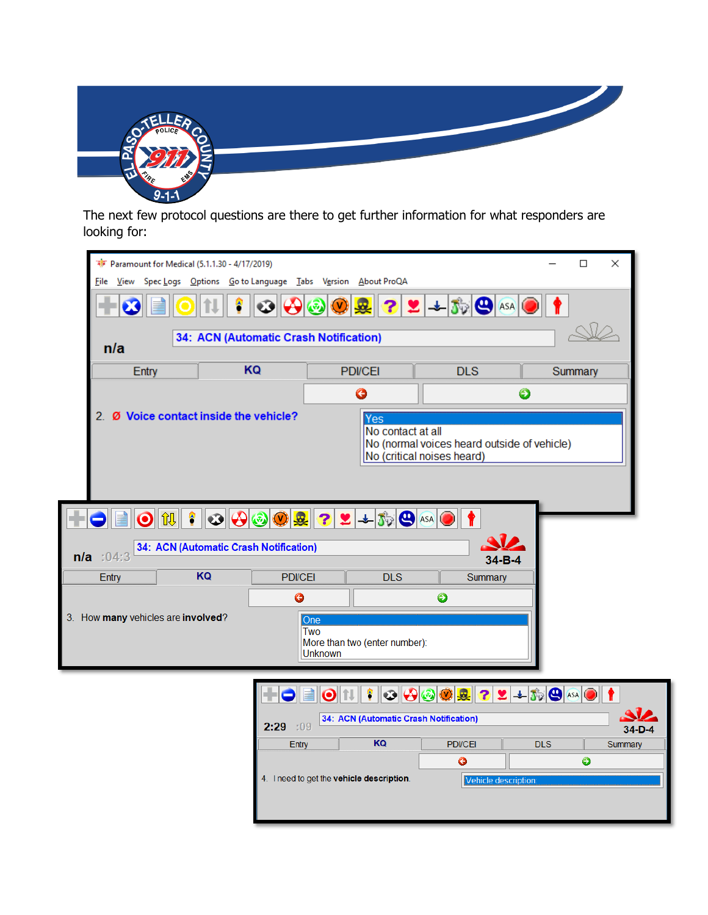

The next few protocol questions are there to get further information for what responders are looking for:

| के Paramount for Medical (5.1.1.30 - 4/17/2019) |                                        |                                                                                                                                                                 |                                                                                                                                                                                          | □<br>$\times$       |          |
|-------------------------------------------------|----------------------------------------|-----------------------------------------------------------------------------------------------------------------------------------------------------------------|------------------------------------------------------------------------------------------------------------------------------------------------------------------------------------------|---------------------|----------|
|                                                 |                                        | File View Spec Logs Options Go to Language Tabs Version About ProQA                                                                                             |                                                                                                                                                                                          |                     |          |
|                                                 |                                        | 2<br>$\mathsf{(V)}$<br>砀                                                                                                                                        | $2 + 3$ $\Theta$ ASA                                                                                                                                                                     |                     |          |
| n/a                                             | 34: ACN (Automatic Crash Notification) |                                                                                                                                                                 |                                                                                                                                                                                          |                     |          |
| Entry                                           | KQ                                     | <b>PDI/CEI</b>                                                                                                                                                  | <b>DLS</b>                                                                                                                                                                               | Summary             |          |
|                                                 |                                        | G                                                                                                                                                               |                                                                                                                                                                                          | €                   |          |
|                                                 | 2. Ø Voice contact inside the vehicle? | Yes<br>No contact at all                                                                                                                                        | No (normal voices heard outside of vehicle)<br>No (critical noises heard)                                                                                                                |                     |          |
| 飢<br>$\boldsymbol{\Theta}$                      |                                        | $ \mathbf{P}  \mathbf{O}  \mathbf{O}  \mathbf{O}  \mathbf{O}  \mathbf{R}  \mathbf{P}  \mathbf{P}  \mathbf{A}  \mathbf{O}  \mathbf{A}  \mathbf{O}  \mathbf{A}  $ |                                                                                                                                                                                          |                     |          |
| $n/a$ :04:3                                     | 34: ACN (Automatic Crash Notification) |                                                                                                                                                                 | $34 - B - 4$                                                                                                                                                                             |                     |          |
| Entry                                           | KQ<br><b>PDI/CEI</b>                   | <b>DLS</b>                                                                                                                                                      | Summary                                                                                                                                                                                  |                     |          |
|                                                 | ◶                                      |                                                                                                                                                                 | ◉                                                                                                                                                                                        |                     |          |
| 3. How many vehicles are involved?              |                                        | One<br>Two<br>More than two (enter number):<br><b>Unknown</b>                                                                                                   |                                                                                                                                                                                          |                     |          |
|                                                 | 2:29:09                                | ۴<br>$\bullet$<br>34: ACN (Automatic Crash Notification)                                                                                                        | $\textcolor{blue}{\text{O}}\textcolor{blue}{\text{O}}\textcolor{blue}{\text{O}}\textcolor{blue}{\text{O}}\textcolor{blue}{\text{O}}\textcolor{blue}{\text{O}}\textcolor{blue}{\text{O}}$ | $22+50$ as $0$      |          |
|                                                 |                                        |                                                                                                                                                                 |                                                                                                                                                                                          |                     | $34-D-4$ |
|                                                 | Entry                                  | KQ                                                                                                                                                              | <b>PDI/CEI</b>                                                                                                                                                                           | <b>DLS</b>          | Summary  |
|                                                 |                                        |                                                                                                                                                                 | €                                                                                                                                                                                        | $\ddot{\mathbf{O}}$ |          |
|                                                 |                                        | 4. I need to get the vehicle description.                                                                                                                       | Vehicle description:                                                                                                                                                                     |                     |          |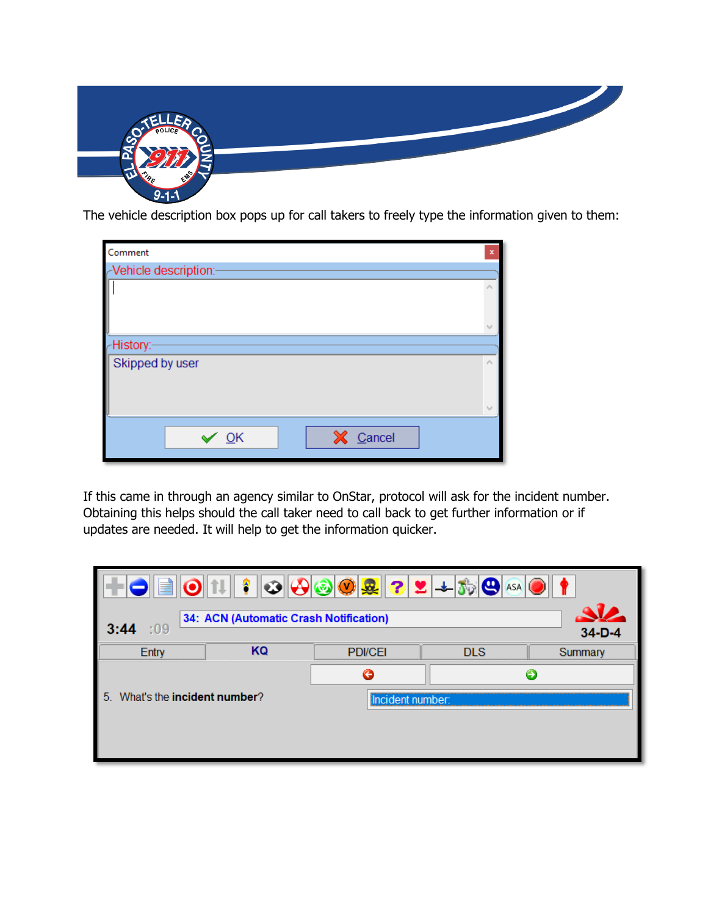

The vehicle description box pops up for call takers to freely type the information given to them:

| Comment                     | $\mathbf x$                 |
|-----------------------------|-----------------------------|
| -Vehicle description:-      |                             |
|                             | ٨<br>v                      |
| -History:-                  |                             |
| Skipped by user             | $\mathcal{O}_1$             |
|                             | $\mathcal{N}_{\mathcal{A}}$ |
| X Cancel<br>$\checkmark$ QK |                             |

If this came in through an agency similar to OnStar, protocol will ask for the incident number. Obtaining this helps should the call taker need to call back to get further information or if updates are needed. It will help to get the information quicker.

| $\ \textcolor{blue}{\bullet}\ \textcolor{red}{\textbf{1}}\  \textcolor{red}{\textbf{\textcolor{blue}{}}}\ \textcolor{blue}{\bullet}\ \textcolor{blue}{\textbf{1}}\textcolor{blue}{\textbf{1}}\ \textcolor{blue}{\textbf{\textcolor{blue}{}}}\ \textcolor{blue}{\textbf{1}}\textcolor{blue}{\textbf{1}}\ \textcolor{blue}{\textbf{1}}\textcolor{blue}{\textbf{1}}\ \textcolor{blue}{\textbf{1}}\textcolor{blue}{\textbf{1}}\ \textcolor{blue}{\textbf{1}}\textcolor{blue}{\textbf{1}}\ \textcolor{blue}{\textbf{1}}\textcolor{blue}{\textbf{1}}\ \textcolor$<br>IOIEI |                                        |                  |            |          |  |
|----------------------------------------------------------------------------------------------------------------------------------------------------------------------------------------------------------------------------------------------------------------------------------------------------------------------------------------------------------------------------------------------------------------------------------------------------------------------------------------------------------------------------------------------------------------------|----------------------------------------|------------------|------------|----------|--|
| 3:44<br>:09                                                                                                                                                                                                                                                                                                                                                                                                                                                                                                                                                          | 34: ACN (Automatic Crash Notification) |                  |            | $34-D-4$ |  |
| <b>Entry</b>                                                                                                                                                                                                                                                                                                                                                                                                                                                                                                                                                         | KQ                                     | <b>PDI/CEI</b>   | <b>DLS</b> | Summary  |  |
|                                                                                                                                                                                                                                                                                                                                                                                                                                                                                                                                                                      | G<br>Θ                                 |                  |            |          |  |
| What's the <b>incident number</b> ?<br>5.                                                                                                                                                                                                                                                                                                                                                                                                                                                                                                                            |                                        | Incident number: |            |          |  |
|                                                                                                                                                                                                                                                                                                                                                                                                                                                                                                                                                                      |                                        |                  |            |          |  |
|                                                                                                                                                                                                                                                                                                                                                                                                                                                                                                                                                                      |                                        |                  |            |          |  |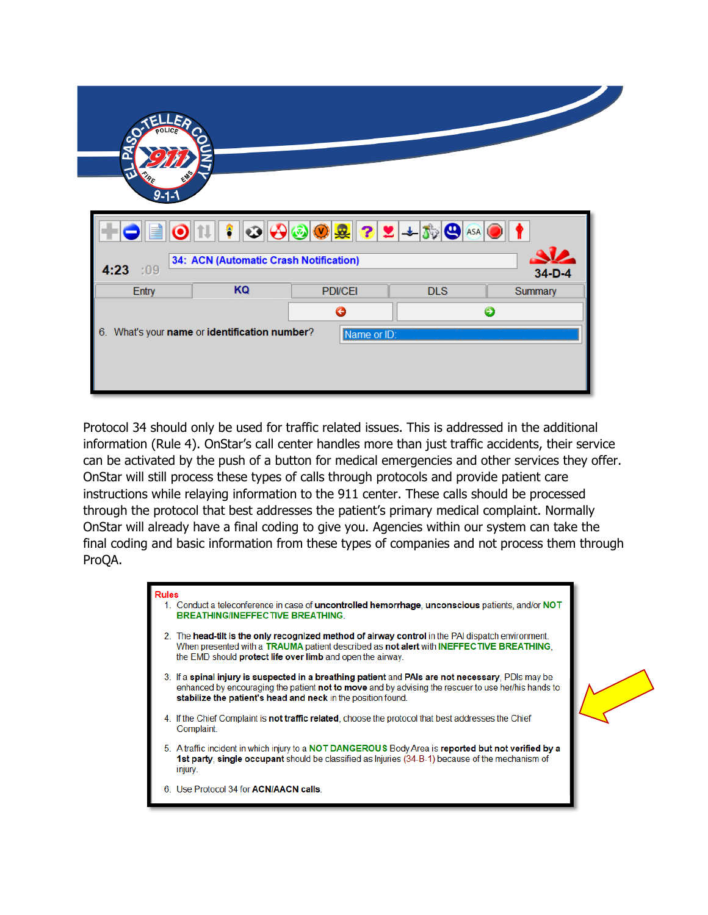| $\mathbf{v}$      |                                        |                                                                           |            |              |
|-------------------|----------------------------------------|---------------------------------------------------------------------------|------------|--------------|
| PF<br>$9 - 1 - 1$ |                                        |                                                                           |            |              |
|                   | ۴<br>$\odot$                           | $\bigcirc \circ \bigcirc \mathcal{Q} \mid \mathcal{R} \mid 2 \mid 2 \mid$ | $\bm{\Xi}$ |              |
|                   | 34: ACN (Automatic Crash Notification) |                                                                           |            | $34-D-4$     |
| 4:23 :09<br>Entry | KQ                                     | <b>PDI/CEI</b><br>$\bullet$                                               | <b>DLS</b> | Summary<br>€ |

Protocol 34 should only be used for traffic related issues. This is addressed in the additional information (Rule 4). OnStar's call center handles more than just traffic accidents, their service can be activated by the push of a button for medical emergencies and other services they offer. OnStar will still process these types of calls through protocols and provide patient care instructions while relaying information to the 911 center. These calls should be processed through the protocol that best addresses the patient's primary medical complaint. Normally OnStar will already have a final coding to give you. Agencies within our system can take the final coding and basic information from these types of companies and not process them through ProQA.

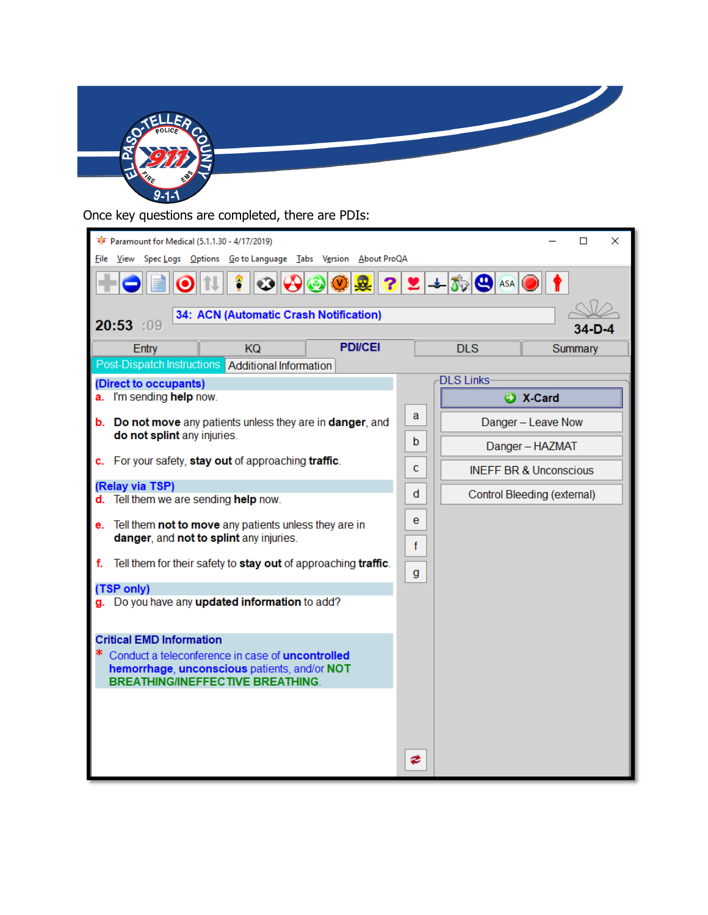

Once key questions are completed, there are PDIs:

| Paramount for Medical (5.1.1.30 - 4/17/2019)<br>File                                                                                | View Spec Logs Options Go to Language Tabs Version About ProQA |                 |        | ×<br>□                |                                   |
|-------------------------------------------------------------------------------------------------------------------------------------|----------------------------------------------------------------|-----------------|--------|-----------------------|-----------------------------------|
|                                                                                                                                     |                                                                | $\bigcirc$<br>网 |        | $2 2 $ + $50$ $\circ$ |                                   |
| 20:53 :09                                                                                                                           | 34: ACN (Automatic Crash Notification)                         |                 |        |                       |                                   |
| Entry                                                                                                                               | <b>KQ</b>                                                      | <b>PDI/CEI</b>  |        | <b>DLS</b>            | Summary                           |
| Post-Dispatch Instructions                                                                                                          | Additional Information                                         |                 |        |                       |                                   |
| (Direct to occupants)                                                                                                               |                                                                |                 |        | <b>DLS Links</b>      |                                   |
| a. I'm sending help now.                                                                                                            |                                                                |                 |        |                       | X-Card                            |
| <b>b.</b> Do not move any patients unless they are in danger, and<br>do not splint any injuries.                                    |                                                                |                 | a      |                       | Danger - Leave Now                |
|                                                                                                                                     |                                                                |                 | b      |                       | Danger - HAZMAT                   |
| c.                                                                                                                                  | For your safety, stay out of approaching traffic.              |                 | c      |                       | <b>INEFF BR &amp; Unconscious</b> |
| (Relay via TSP)<br>Tell them we are sending help now.                                                                               |                                                                |                 | d      |                       | Control Bleeding (external)       |
| e. Tell them not to move any patients unless they are in<br>danger, and not to splint any injuries.                                 |                                                                |                 | e<br>f |                       |                                   |
| f.                                                                                                                                  | Tell them for their safety to stay out of approaching traffic. |                 | g      |                       |                                   |
| (TSP only)                                                                                                                          |                                                                |                 |        |                       |                                   |
| g. Do you have any updated information to add?                                                                                      |                                                                |                 |        |                       |                                   |
| <b>Critical EMD Information</b><br>Conduct a teleconference in case of uncontrolled<br>hemorrhage, unconscious patients, and/or NOT | <b>BREATHING/INEFFECTIVE BREATHING</b>                         |                 |        |                       |                                   |
|                                                                                                                                     |                                                                |                 | ≉      |                       |                                   |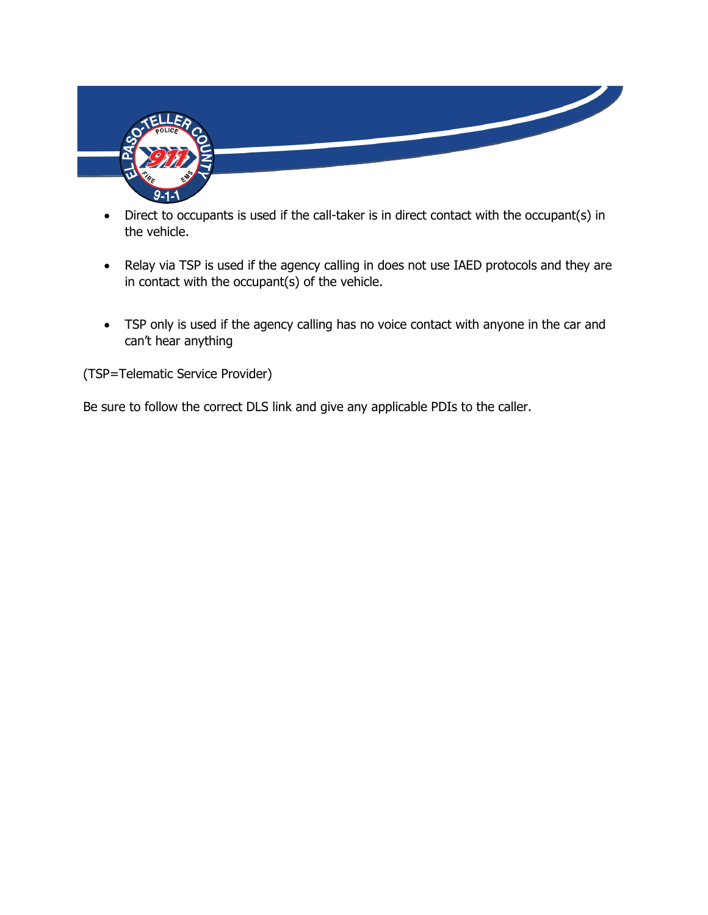

- Direct to occupants is used if the call-taker is in direct contact with the occupant(s) in the vehicle.
- Relay via TSP is used if the agency calling in does not use IAED protocols and they are in contact with the occupant(s) of the vehicle.
- TSP only is used if the agency calling has no voice contact with anyone in the car and can't hear anything

(TSP=Telematic Service Provider)

Be sure to follow the correct DLS link and give any applicable PDIs to the caller.